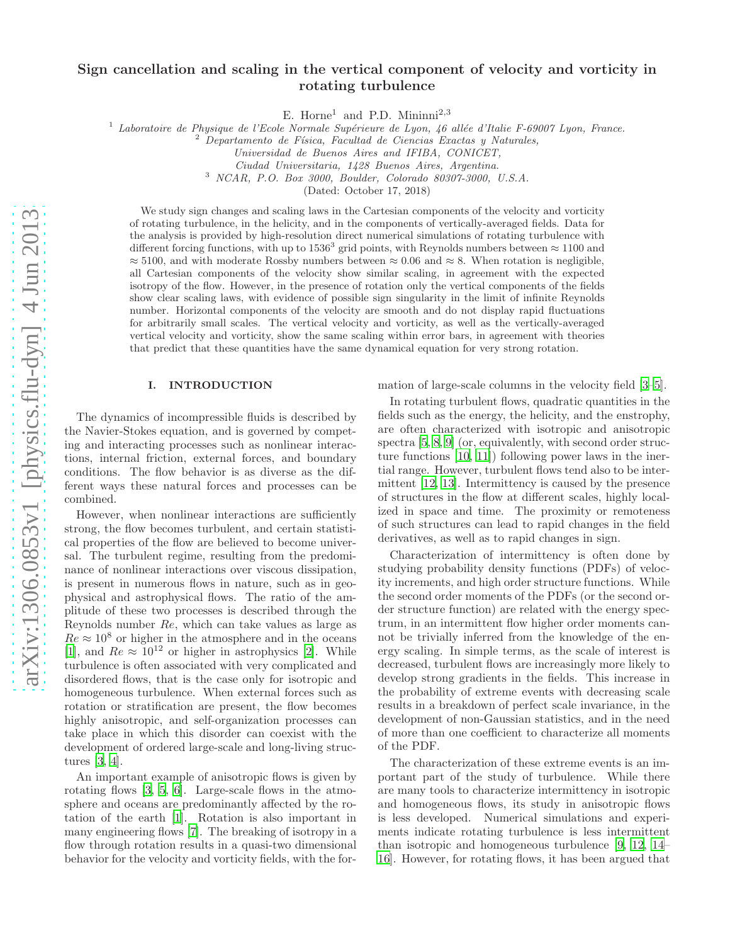# Sign cancellation and scaling in the vertical component of velocity and vorticity in rotating turbulence

E. Horne<sup>1</sup> and P.D. Mininni<sup>2,3</sup>

<sup>1</sup> Laboratoire de Physique de l'Ecole Normale Supérieure de Lyon, 46 allée d'Italie F-69007 Lyon, France.

 $2$  Departamento de Física, Facultad de Ciencias Exactas y Naturales,

<sup>3</sup> NCAR, P.O. Box 3000, Boulder, Colorado 80307-3000, U.S.A.

(Dated: October 17, 2018)

We study sign changes and scaling laws in the Cartesian components of the velocity and vorticity of rotating turbulence, in the helicity, and in the components of vertically-averaged fields. Data for the analysis is provided by high-resolution direct numerical simulations of rotating turbulence with different forcing functions, with up to 1536<sup>3</sup> grid points, with Reynolds numbers between  $\approx 1100$  and  $\approx$  5100, and with moderate Rossby numbers between  $\approx$  0.06 and  $\approx$  8. When rotation is negligible, all Cartesian components of the velocity show similar scaling, in agreement with the expected isotropy of the flow. However, in the presence of rotation only the vertical components of the fields show clear scaling laws, with evidence of possible sign singularity in the limit of infinite Reynolds number. Horizontal components of the velocity are smooth and do not display rapid fluctuations for arbitrarily small scales. The vertical velocity and vorticity, as well as the vertically-averaged vertical velocity and vorticity, show the same scaling within error bars, in agreement with theories that predict that these quantities have the same dynamical equation for very strong rotation.

### I. INTRODUCTION

The dynamics of incompressible fluids is described by the Navier-Stokes equation, and is governed by competing and interacting processes such as nonlinear interactions, internal friction, external forces, and boundary conditions. The flow behavior is as diverse as the different ways these natural forces and processes can be combined.

However, when nonlinear interactions are sufficiently strong, the flow becomes turbulent, and certain statistical properties of the flow are believed to become universal. The turbulent regime, resulting from the predominance of nonlinear interactions over viscous dissipation, is present in numerous flows in nature, such as in geophysical and astrophysical flows. The ratio of the amplitude of these two processes is described through the Reynolds number Re, which can take values as large as  $Re \approx 10^8$  or higher in the atmosphere and in the oceans [\[1\]](#page-8-0), and  $Re \approx 10^{12}$  or higher in astrophysics [\[2\]](#page-8-1). While turbulence is often associated with very complicated and disordered flows, that is the case only for isotropic and homogeneous turbulence. When external forces such as rotation or stratification are present, the flow becomes highly anisotropic, and self-organization processes can take place in which this disorder can coexist with the development of ordered large-scale and long-living structures [\[3,](#page-8-2) [4\]](#page-8-3).

An important example of anisotropic flows is given by rotating flows [\[3,](#page-8-2) [5,](#page-8-4) [6](#page-8-5)]. Large-scale flows in the atmosphere and oceans are predominantly affected by the rotation of the earth [\[1\]](#page-8-0). Rotation is also important in many engineering flows [\[7\]](#page-8-6). The breaking of isotropy in a flow through rotation results in a quasi-two dimensional behavior for the velocity and vorticity fields, with the formation of large-scale columns in the velocity field [\[3](#page-8-2)[–5](#page-8-4)].

In rotating turbulent flows, quadratic quantities in the fields such as the energy, the helicity, and the enstrophy, are often characterized with isotropic and anisotropic spectra [\[5,](#page-8-4) [8,](#page-8-7) [9\]](#page-8-8) (or, equivalently, with second order structure functions [\[10,](#page-8-9) [11\]](#page-8-10)) following power laws in the inertial range. However, turbulent flows tend also to be intermittent [\[12](#page-8-11), [13](#page-8-12)]. Intermittency is caused by the presence of structures in the flow at different scales, highly localized in space and time. The proximity or remoteness of such structures can lead to rapid changes in the field derivatives, as well as to rapid changes in sign.

Characterization of intermittency is often done by studying probability density functions (PDFs) of velocity increments, and high order structure functions. While the second order moments of the PDFs (or the second order structure function) are related with the energy spectrum, in an intermittent flow higher order moments cannot be trivially inferred from the knowledge of the energy scaling. In simple terms, as the scale of interest is decreased, turbulent flows are increasingly more likely to develop strong gradients in the fields. This increase in the probability of extreme events with decreasing scale results in a breakdown of perfect scale invariance, in the development of non-Gaussian statistics, and in the need of more than one coefficient to characterize all moments of the PDF.

The characterization of these extreme events is an important part of the study of turbulence. While there are many tools to characterize intermittency in isotropic and homogeneous flows, its study in anisotropic flows is less developed. Numerical simulations and experiments indicate rotating turbulence is less intermittent than isotropic and homogeneous turbulence [\[9](#page-8-8), [12](#page-8-11), [14](#page-8-13)– [16](#page-8-14)]. However, for rotating flows, it has been argued that

Universidad de Buenos Aires and IFIBA, CONICET,

Ciudad Universitaria, 1428 Buenos Aires, Argentina.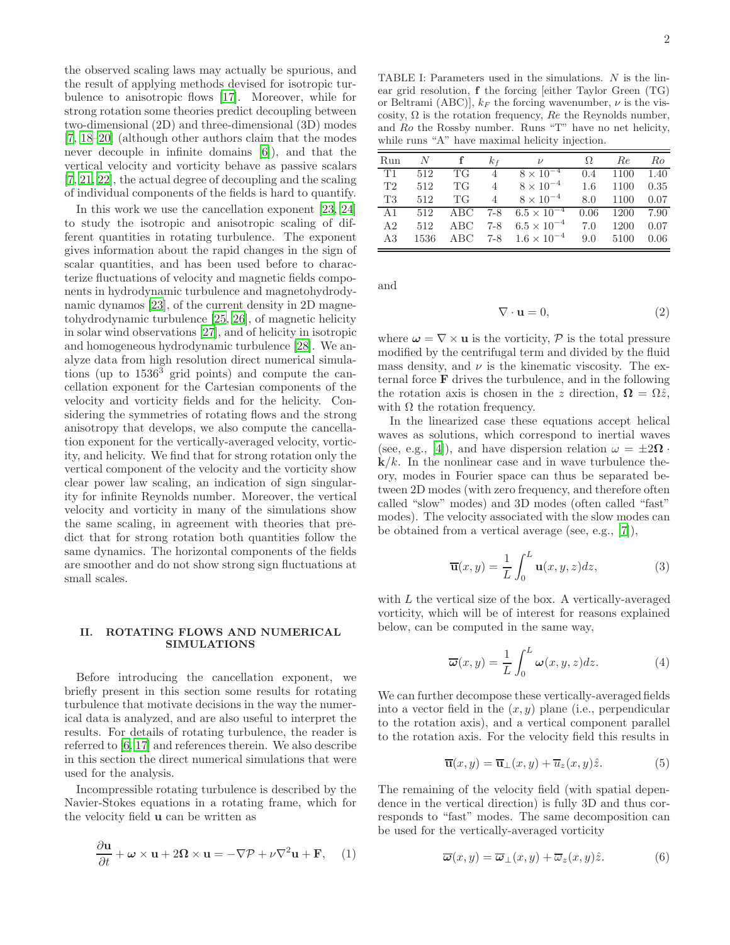the observed scaling laws may actually be spurious, and the result of applying methods devised for isotropic turbulence to anisotropic flows [\[17\]](#page-8-15). Moreover, while for strong rotation some theories predict decoupling between two-dimensional (2D) and three-dimensional (3D) modes [\[7,](#page-8-6) [18](#page-8-16)[–20\]](#page-8-17) (although other authors claim that the modes never decouple in infinite domains [\[6\]](#page-8-5)), and that the vertical velocity and vorticity behave as passive scalars [\[7,](#page-8-6) [21,](#page-8-18) [22](#page-8-19)], the actual degree of decoupling and the scaling of individual components of the fields is hard to quantify.

In this work we use the cancellation exponent [\[23](#page-8-20), [24](#page-8-21)] to study the isotropic and anisotropic scaling of different quantities in rotating turbulence. The exponent gives information about the rapid changes in the sign of scalar quantities, and has been used before to characterize fluctuations of velocity and magnetic fields components in hydrodynamic turbulence and magnetohydrodynamic dynamos [\[23\]](#page-8-20), of the current density in 2D magnetohydrodynamic turbulence [\[25,](#page-8-22) [26\]](#page-8-23), of magnetic helicity in solar wind observations [\[27\]](#page-8-24), and of helicity in isotropic and homogeneous hydrodynamic turbulence [\[28\]](#page-8-25). We analyze data from high resolution direct numerical simulations (up to  $1536<sup>3</sup>$  grid points) and compute the cancellation exponent for the Cartesian components of the velocity and vorticity fields and for the helicity. Considering the symmetries of rotating flows and the strong anisotropy that develops, we also compute the cancellation exponent for the vertically-averaged velocity, vorticity, and helicity. We find that for strong rotation only the vertical component of the velocity and the vorticity show clear power law scaling, an indication of sign singularity for infinite Reynolds number. Moreover, the vertical velocity and vorticity in many of the simulations show the same scaling, in agreement with theories that predict that for strong rotation both quantities follow the same dynamics. The horizontal components of the fields are smoother and do not show strong sign fluctuations at small scales.

# II. ROTATING FLOWS AND NUMERICAL SIMULATIONS

Before introducing the cancellation exponent, we briefly present in this section some results for rotating turbulence that motivate decisions in the way the numerical data is analyzed, and are also useful to interpret the results. For details of rotating turbulence, the reader is referred to [\[6,](#page-8-5) [17\]](#page-8-15) and references therein. We also describe in this section the direct numerical simulations that were used for the analysis.

Incompressible rotating turbulence is described by the Navier-Stokes equations in a rotating frame, which for the velocity field u can be written as

<span id="page-1-0"></span>
$$
\frac{\partial \mathbf{u}}{\partial t} + \boldsymbol{\omega} \times \mathbf{u} + 2\boldsymbol{\Omega} \times \mathbf{u} = -\nabla \mathcal{P} + \nu \nabla^2 \mathbf{u} + \mathbf{F}, \quad (1)
$$

<span id="page-1-2"></span>TABLE I: Parameters used in the simulations. N is the linear grid resolution, f the forcing [either Taylor Green (TG) or Beltrami (ABC)],  $k_F$  the forcing wavenumber,  $\nu$  is the viscosity,  $\Omega$  is the rotation frequency, Re the Reynolds number, and Ro the Rossby number. Runs "T" have no net helicity, while runs "A" have maximal helicity injection.

| Run            | N    |         | $k_f$          | $\overline{U}$               | Ω.            | Re   | Ro   |
|----------------|------|---------|----------------|------------------------------|---------------|------|------|
| T1             | 512  | TG      | $\overline{4}$ | $8\times10^{-4}$             | $0.4^{\circ}$ | 1100 | 1.40 |
| T2             | 512  | TG      | $\overline{4}$ | $8 \times 10^{-4}$ 1.6       |               | 1100 | 0.35 |
| T3             | 512  | TG      | $\overline{4}$ | $8\times10^{-4}$             | 8.0           | 1100 | 0.07 |
| A 1            |      | 512 ABC |                | 7-8 $6.5 \times 10^{-4}$     | 0.06          | 1200 | 7.90 |
| A <sub>2</sub> | 512  | ABC     |                | 7-8 $6.5 \times 10^{-4}$     | 7.0           | 1200 | 0.07 |
| A3             | 1536 |         |                | ABC 7-8 $1.6 \times 10^{-4}$ | 9.0           | 5100 | 0.06 |

and

<span id="page-1-1"></span>
$$
\nabla \cdot \mathbf{u} = 0,\tag{2}
$$

where  $\boldsymbol{\omega} = \nabla \times \mathbf{u}$  is the vorticity,  $\mathcal{P}$  is the total pressure modified by the centrifugal term and divided by the fluid mass density, and  $\nu$  is the kinematic viscosity. The external force F drives the turbulence, and in the following the rotation axis is chosen in the z direction,  $\mathbf{\Omega} = \Omega \hat{z}$ , with  $\Omega$  the rotation frequency.

In the linearized case these equations accept helical waves as solutions, which correspond to inertial waves (see, e.g., [\[4\]](#page-8-3)), and have dispersion relation  $\omega = \pm 2\Omega$ .  $k/k$ . In the nonlinear case and in wave turbulence theory, modes in Fourier space can thus be separated between 2D modes (with zero frequency, and therefore often called "slow" modes) and 3D modes (often called "fast" modes). The velocity associated with the slow modes can be obtained from a vertical average (see, e.g., [\[7](#page-8-6)]),

$$
\overline{\mathbf{u}}(x,y) = \frac{1}{L} \int_0^L \mathbf{u}(x,y,z) dz,
$$
 (3)

with  $L$  the vertical size of the box. A vertically-averaged vorticity, which will be of interest for reasons explained below, can be computed in the same way,

$$
\overline{\omega}(x,y) = \frac{1}{L} \int_0^L \omega(x,y,z) dz.
$$
 (4)

We can further decompose these vertically-averaged fields into a vector field in the  $(x, y)$  plane (i.e., perpendicular to the rotation axis), and a vertical component parallel to the rotation axis. For the velocity field this results in

$$
\overline{\mathbf{u}}(x,y) = \overline{\mathbf{u}}_{\perp}(x,y) + \overline{u}_{z}(x,y)\hat{z}.
$$
 (5)

The remaining of the velocity field (with spatial dependence in the vertical direction) is fully 3D and thus corresponds to "fast" modes. The same decomposition can be used for the vertically-averaged vorticity

$$
\overline{\omega}(x,y) = \overline{\omega}_{\perp}(x,y) + \overline{\omega}_{z}(x,y)\hat{z}.
$$
 (6)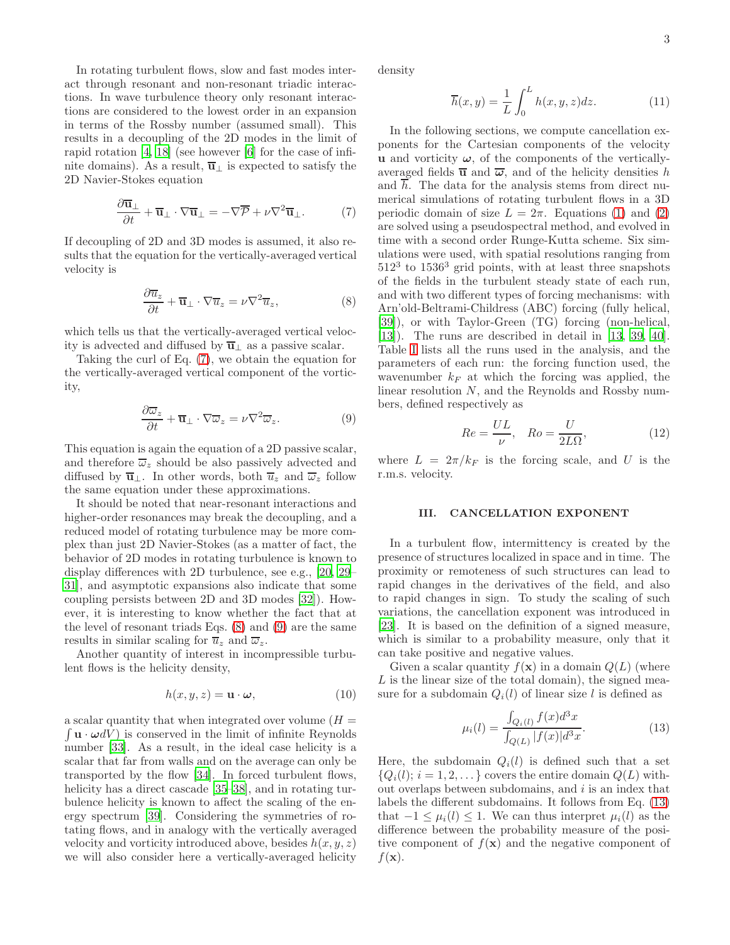3

In rotating turbulent flows, slow and fast modes interact through resonant and non-resonant triadic interactions. In wave turbulence theory only resonant interactions are considered to the lowest order in an expansion in terms of the Rossby number (assumed small). This results in a decoupling of the 2D modes in the limit of rapid rotation [\[4,](#page-8-3) [18](#page-8-16)] (see however [\[6](#page-8-5)] for the case of infinite domains). As a result,  $\overline{u}_\perp$  is expected to satisfy the 2D Navier-Stokes equation

<span id="page-2-0"></span>
$$
\frac{\partial \overline{\mathbf{u}}_{\perp}}{\partial t} + \overline{\mathbf{u}}_{\perp} \cdot \nabla \overline{\mathbf{u}}_{\perp} = -\nabla \overline{\mathcal{P}} + \nu \nabla^2 \overline{\mathbf{u}}_{\perp}. \tag{7}
$$

If decoupling of 2D and 3D modes is assumed, it also results that the equation for the vertically-averaged vertical velocity is

<span id="page-2-1"></span>
$$
\frac{\partial \overline{u}_z}{\partial t} + \overline{\mathbf{u}}_\perp \cdot \nabla \overline{u}_z = \nu \nabla^2 \overline{u}_z,\tag{8}
$$

which tells us that the vertically-averaged vertical velocity is advected and diffused by  $\overline{\mathbf{u}}_{\perp}$  as a passive scalar.

Taking the curl of Eq. [\(7\)](#page-2-0), we obtain the equation for the vertically-averaged vertical component of the vorticity,

<span id="page-2-2"></span>
$$
\frac{\partial \overline{\omega}_z}{\partial t} + \overline{\mathbf{u}}_\perp \cdot \nabla \overline{\omega}_z = \nu \nabla^2 \overline{\omega}_z.
$$
 (9)

This equation is again the equation of a 2D passive scalar, and therefore  $\overline{\omega}_z$  should be also passively advected and diffused by  $\overline{\mathbf{u}}_1$ . In other words, both  $\overline{u}_z$  and  $\overline{\omega}_z$  follow the same equation under these approximations.

It should be noted that near-resonant interactions and higher-order resonances may break the decoupling, and a reduced model of rotating turbulence may be more complex than just 2D Navier-Stokes (as a matter of fact, the behavior of 2D modes in rotating turbulence is known to display differences with 2D turbulence, see e.g., [\[20,](#page-8-17) [29](#page-8-26)– [31\]](#page-8-27), and asymptotic expansions also indicate that some coupling persists between 2D and 3D modes [\[32\]](#page-8-28)). However, it is interesting to know whether the fact that at the level of resonant triads Eqs. [\(8\)](#page-2-1) and [\(9\)](#page-2-2) are the same results in similar scaling for  $\overline{u}_z$  and  $\overline{\omega}_z$ .

Another quantity of interest in incompressible turbulent flows is the helicity density,

$$
h(x, y, z) = \mathbf{u} \cdot \boldsymbol{\omega},\tag{10}
$$

a scalar quantity that when integrated over volume  $(H =$  $\int \mathbf{u} \cdot \boldsymbol{\omega} dV$  is conserved in the limit of infinite Reynolds number [\[33\]](#page-8-29). As a result, in the ideal case helicity is a scalar that far from walls and on the average can only be transported by the flow [\[34](#page-8-30)]. In forced turbulent flows, helicity has a direct cascade [\[35](#page-8-31)[–38\]](#page-8-32), and in rotating turbulence helicity is known to affect the scaling of the energy spectrum [\[39](#page-8-33)]. Considering the symmetries of rotating flows, and in analogy with the vertically averaged velocity and vorticity introduced above, besides  $h(x, y, z)$ we will also consider here a vertically-averaged helicity

density

$$
\overline{h}(x,y) = \frac{1}{L} \int_0^L h(x,y,z)dz.
$$
 (11)

In the following sections, we compute cancellation exponents for the Cartesian components of the velocity u and vorticity  $\omega$ , of the components of the verticallyaveraged fields  $\overline{u}$  and  $\overline{\omega}$ , and of the helicity densities h and h. The data for the analysis stems from direct numerical simulations of rotating turbulent flows in a 3D periodic domain of size  $L = 2\pi$ . Equations [\(1\)](#page-1-0) and [\(2\)](#page-1-1) are solved using a pseudospectral method, and evolved in time with a second order Runge-Kutta scheme. Six simulations were used, with spatial resolutions ranging from  $512<sup>3</sup>$  to  $1536<sup>3</sup>$  grid points, with at least three snapshots of the fields in the turbulent steady state of each run, and with two different types of forcing mechanisms: with Arn'old-Beltrami-Childress (ABC) forcing (fully helical, [\[39\]](#page-8-33)), or with Taylor-Green (TG) forcing (non-helical, [\[13\]](#page-8-12)). The runs are described in detail in [\[13](#page-8-12), [39,](#page-8-33) [40\]](#page-8-34). Table [I](#page-1-2) lists all the runs used in the analysis, and the parameters of each run: the forcing function used, the wavenumber  $k_F$  at which the forcing was applied, the linear resolution N, and the Reynolds and Rossby numbers, defined respectively as

$$
Re = \frac{UL}{\nu}, \quad Ro = \frac{U}{2L\Omega},\tag{12}
$$

where  $L = 2\pi/k_F$  is the forcing scale, and U is the r.m.s. velocity.

#### III. CANCELLATION EXPONENT

In a turbulent flow, intermittency is created by the presence of structures localized in space and in time. The proximity or remoteness of such structures can lead to rapid changes in the derivatives of the field, and also to rapid changes in sign. To study the scaling of such variations, the cancellation exponent was introduced in [\[23\]](#page-8-20). It is based on the definition of a signed measure, which is similar to a probability measure, only that it can take positive and negative values.

Given a scalar quantity  $f(\mathbf{x})$  in a domain  $Q(L)$  (where L is the linear size of the total domain), the signed measure for a subdomain  $Q_i(l)$  of linear size l is defined as

<span id="page-2-3"></span>
$$
\mu_i(l) = \frac{\int_{Q_i(l)} f(x)d^3x}{\int_{Q(L)} |f(x)|d^3x}.
$$
\n(13)

Here, the subdomain  $Q_i(l)$  is defined such that a set  ${Q_i(l); i = 1, 2, \ldots}$  covers the entire domain  $Q(L)$  without overlaps between subdomains, and  $i$  is an index that labels the different subdomains. It follows from Eq. [\(13\)](#page-2-3) that  $-1 \leq \mu_i(l) \leq 1$ . We can thus interpret  $\mu_i(l)$  as the difference between the probability measure of the positive component of  $f(\mathbf{x})$  and the negative component of  $f(\mathbf{x})$ .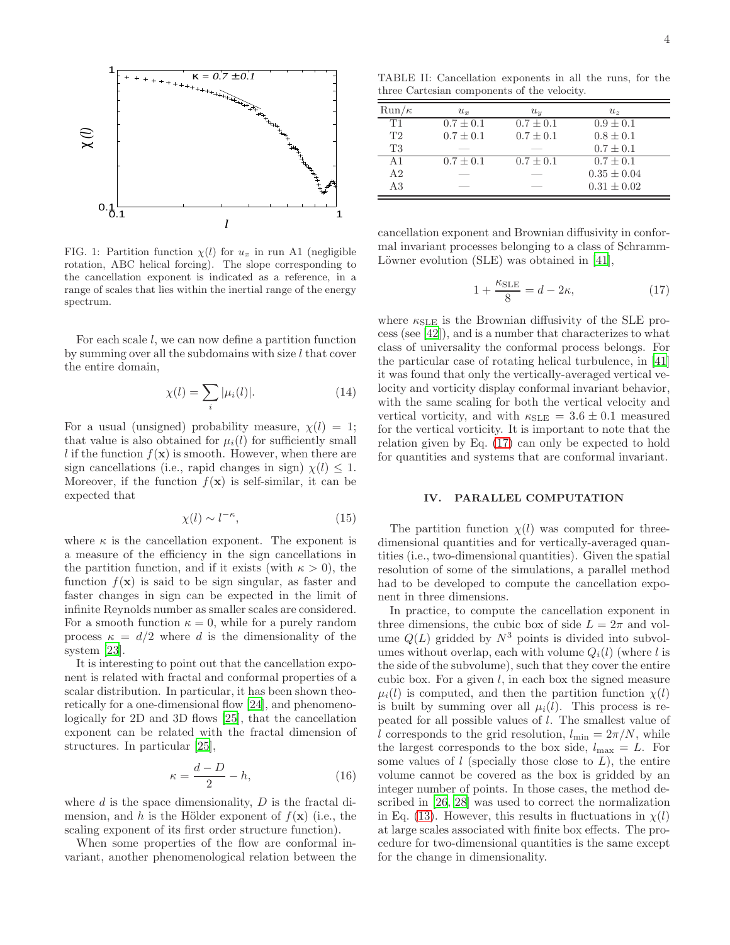

<span id="page-3-1"></span>FIG. 1: Partition function  $\chi(l)$  for  $u_x$  in run A1 (negligible rotation, ABC helical forcing). The slope corresponding to the cancellation exponent is indicated as a reference, in a range of scales that lies within the inertial range of the energy spectrum.

For each scale l, we can now define a partition function by summing over all the subdomains with size  $l$  that cover the entire domain,

$$
\chi(l) = \sum_{i} |\mu_i(l)|. \tag{14}
$$

For a usual (unsigned) probability measure,  $\chi(l) = 1$ ; that value is also obtained for  $\mu_i(l)$  for sufficiently small l if the function  $f(\mathbf{x})$  is smooth. However, when there are sign cancellations (i.e., rapid changes in sign)  $\chi(l) \leq 1$ . Moreover, if the function  $f(\mathbf{x})$  is self-similar, it can be expected that

<span id="page-3-2"></span>
$$
\chi(l) \sim l^{-\kappa},\tag{15}
$$

where  $\kappa$  is the cancellation exponent. The exponent is a measure of the efficiency in the sign cancellations in the partition function, and if it exists (with  $\kappa > 0$ ), the function  $f(\mathbf{x})$  is said to be sign singular, as faster and faster changes in sign can be expected in the limit of infinite Reynolds number as smaller scales are considered. For a smooth function  $\kappa = 0$ , while for a purely random process  $\kappa = d/2$  where d is the dimensionality of the system [\[23\]](#page-8-20).

It is interesting to point out that the cancellation exponent is related with fractal and conformal properties of a scalar distribution. In particular, it has been shown theoretically for a one-dimensional flow [\[24\]](#page-8-21), and phenomenologically for 2D and 3D flows [\[25\]](#page-8-22), that the cancellation exponent can be related with the fractal dimension of structures. In particular [\[25\]](#page-8-22),

<span id="page-3-3"></span>
$$
\kappa = \frac{d - D}{2} - h,\tag{16}
$$

where  $d$  is the space dimensionality,  $D$  is the fractal dimension, and h is the Hölder exponent of  $f(\mathbf{x})$  (i.e., the scaling exponent of its first order structure function).

When some properties of the flow are conformal invariant, another phenomenological relation between the

<span id="page-3-4"></span>TABLE II: Cancellation exponents in all the runs, for the three Cartesian components of the velocity.

| $Run/\kappa$ | $u_r$         | $u_y$         | $u_{z}$         |
|--------------|---------------|---------------|-----------------|
| T1           | $0.7 \pm 0.1$ | $0.7 \pm 0.1$ | $0.9 + 0.1$     |
| T2           | $0.7 \pm 0.1$ | $0.7 + 0.1$   | $0.8 + 0.1$     |
| <b>T3</b>    |               |               | $0.7 + 0.1$     |
| A1           | $0.7 + 0.1$   | $0.7 + 0.1$   | $0.7 + 0.1$     |
| A2           |               |               | $0.35 \pm 0.04$ |
| A3           |               |               | $0.31 + 0.02$   |

cancellation exponent and Brownian diffusivity in conformal invariant processes belonging to a class of Schramm-Löwner evolution  $(SLE)$  was obtained in [\[41\]](#page-8-35),

<span id="page-3-0"></span>
$$
1 + \frac{\kappa_{\text{SLE}}}{8} = d - 2\kappa,\tag{17}
$$

where  $\kappa_{\text{SLE}}$  is the Brownian diffusivity of the SLE process (see [\[42\]](#page-8-36)), and is a number that characterizes to what class of universality the conformal process belongs. For the particular case of rotating helical turbulence, in [\[41](#page-8-35)] it was found that only the vertically-averaged vertical velocity and vorticity display conformal invariant behavior, with the same scaling for both the vertical velocity and vertical vorticity, and with  $\kappa_{SLE} = 3.6 \pm 0.1$  measured for the vertical vorticity. It is important to note that the relation given by Eq. [\(17\)](#page-3-0) can only be expected to hold for quantities and systems that are conformal invariant.

#### IV. PARALLEL COMPUTATION

The partition function  $\chi(l)$  was computed for threedimensional quantities and for vertically-averaged quantities (i.e., two-dimensional quantities). Given the spatial resolution of some of the simulations, a parallel method had to be developed to compute the cancellation exponent in three dimensions.

In practice, to compute the cancellation exponent in three dimensions, the cubic box of side  $L = 2\pi$  and volume  $Q(L)$  gridded by  $N^3$  points is divided into subvolumes without overlap, each with volume  $Q_i(l)$  (where l is the side of the subvolume), such that they cover the entire cubic box. For a given  $l$ , in each box the signed measure  $\mu_i(l)$  is computed, and then the partition function  $\chi(l)$ is built by summing over all  $\mu_i(l)$ . This process is repeated for all possible values of l. The smallest value of l corresponds to the grid resolution,  $l_{\min} = 2\pi/N$ , while the largest corresponds to the box side,  $l_{\text{max}} = L$ . For some values of  $l$  (specially those close to  $L$ ), the entire volume cannot be covered as the box is gridded by an integer number of points. In those cases, the method described in [\[26,](#page-8-23) [28\]](#page-8-25) was used to correct the normalization in Eq. [\(13\)](#page-2-3). However, this results in fluctuations in  $\chi(l)$ at large scales associated with finite box effects. The procedure for two-dimensional quantities is the same except for the change in dimensionality.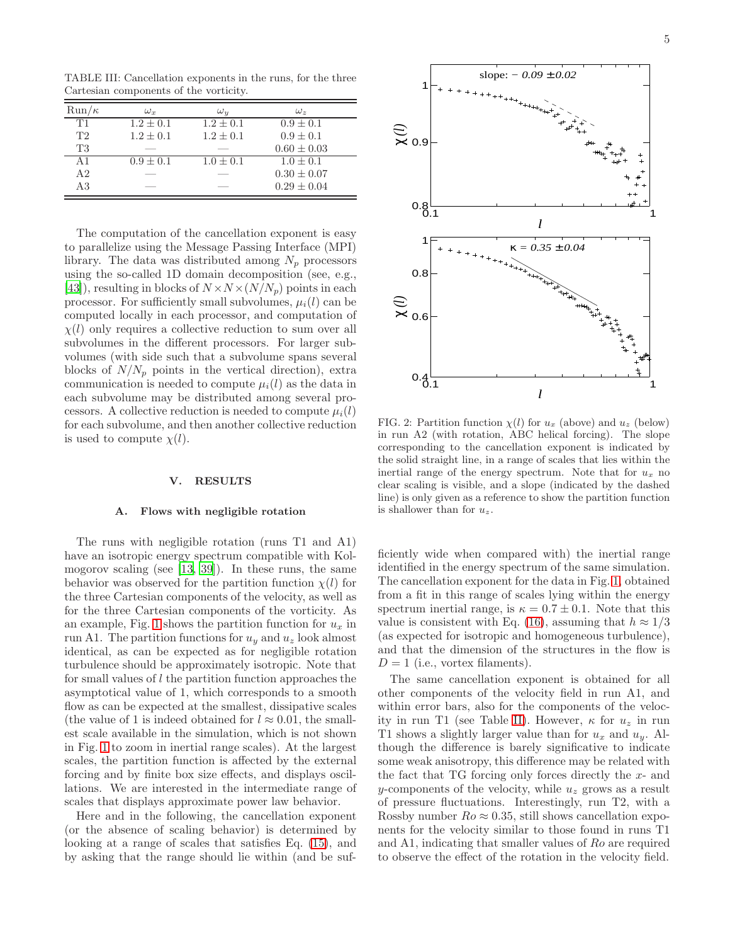<span id="page-4-0"></span>TABLE III: Cancellation exponents in the runs, for the three Cartesian components of the vorticity.

| $Run/\kappa$ | $\omega_x$    | $\omega_{u}$  | $\omega_z$      |
|--------------|---------------|---------------|-----------------|
| T1           | $1.2 \pm 0.1$ | $1.2 + 0.1$   | $0.9 \pm 0.1$   |
| T2           | $1.2 \pm 0.1$ | $1.2 \pm 0.1$ | $0.9 \pm 0.1$   |
| T3           |               |               | $0.60 \pm 0.03$ |
| A $1$        | $0.9 \pm 0.1$ | $1.0 \pm 0.1$ | $1.0 + 0.1$     |
| A2           |               |               | $0.30 \pm 0.07$ |
| A3           |               |               | $0.29 \pm 0.04$ |

The computation of the cancellation exponent is easy to parallelize using the Message Passing Interface (MPI) library. The data was distributed among  $N_p$  processors using the so-called 1D domain decomposition (see, e.g., [\[43\]](#page-8-37)), resulting in blocks of  $N \times N \times (N/N_p)$  points in each processor. For sufficiently small subvolumes,  $\mu_i(l)$  can be computed locally in each processor, and computation of  $\chi(l)$  only requires a collective reduction to sum over all subvolumes in the different processors. For larger subvolumes (with side such that a subvolume spans several blocks of  $N/N_p$  points in the vertical direction), extra communication is needed to compute  $\mu_i(l)$  as the data in each subvolume may be distributed among several processors. A collective reduction is needed to compute  $\mu_i(l)$ for each subvolume, and then another collective reduction is used to compute  $\chi(l)$ .

#### V. RESULTS

## A. Flows with negligible rotation

The runs with negligible rotation (runs T1 and A1) have an isotropic energy spectrum compatible with Kolmogorov scaling (see [\[13,](#page-8-12) [39\]](#page-8-33)). In these runs, the same behavior was observed for the partition function  $\chi(l)$  for the three Cartesian components of the velocity, as well as for the three Cartesian components of the vorticity. As an example, Fig. [1](#page-3-1) shows the partition function for  $u_x$  in run A1. The partition functions for  $u_y$  and  $u_z$  look almost identical, as can be expected as for negligible rotation turbulence should be approximately isotropic. Note that for small values of l the partition function approaches the asymptotical value of 1, which corresponds to a smooth flow as can be expected at the smallest, dissipative scales (the value of 1 is indeed obtained for  $l \approx 0.01$ , the smallest scale available in the simulation, which is not shown in Fig. [1](#page-3-1) to zoom in inertial range scales). At the largest scales, the partition function is affected by the external forcing and by finite box size effects, and displays oscillations. We are interested in the intermediate range of scales that displays approximate power law behavior.

Here and in the following, the cancellation exponent (or the absence of scaling behavior) is determined by looking at a range of scales that satisfies Eq. [\(15\)](#page-3-2), and by asking that the range should lie within (and be suf-



<span id="page-4-1"></span>FIG. 2: Partition function  $\chi(l)$  for  $u_x$  (above) and  $u_z$  (below) in run A2 (with rotation, ABC helical forcing). The slope corresponding to the cancellation exponent is indicated by the solid straight line, in a range of scales that lies within the inertial range of the energy spectrum. Note that for  $u_x$  no clear scaling is visible, and a slope (indicated by the dashed line) is only given as a reference to show the partition function is shallower than for  $u_z$ .

ficiently wide when compared with) the inertial range identified in the energy spectrum of the same simulation. The cancellation exponent for the data in Fig. [1,](#page-3-1) obtained from a fit in this range of scales lying within the energy spectrum inertial range, is  $\kappa = 0.7 \pm 0.1$ . Note that this value is consistent with Eq. [\(16\)](#page-3-3), assuming that  $h \approx 1/3$ (as expected for isotropic and homogeneous turbulence), and that the dimension of the structures in the flow is  $D = 1$  (i.e., vortex filaments).

The same cancellation exponent is obtained for all other components of the velocity field in run A1, and within error bars, also for the components of the veloc-ity in run T1 (see Table [II\)](#page-3-4). However,  $\kappa$  for  $u_z$  in run T1 shows a slightly larger value than for  $u_x$  and  $u_y$ . Although the difference is barely significative to indicate some weak anisotropy, this difference may be related with the fact that  $TG$  forcing only forces directly the  $x$ - and y-components of the velocity, while  $u<sub>z</sub>$  grows as a result of pressure fluctuations. Interestingly, run T2, with a Rossby number  $Ro \approx 0.35$ , still shows cancellation exponents for the velocity similar to those found in runs T1 and A1, indicating that smaller values of Ro are required to observe the effect of the rotation in the velocity field.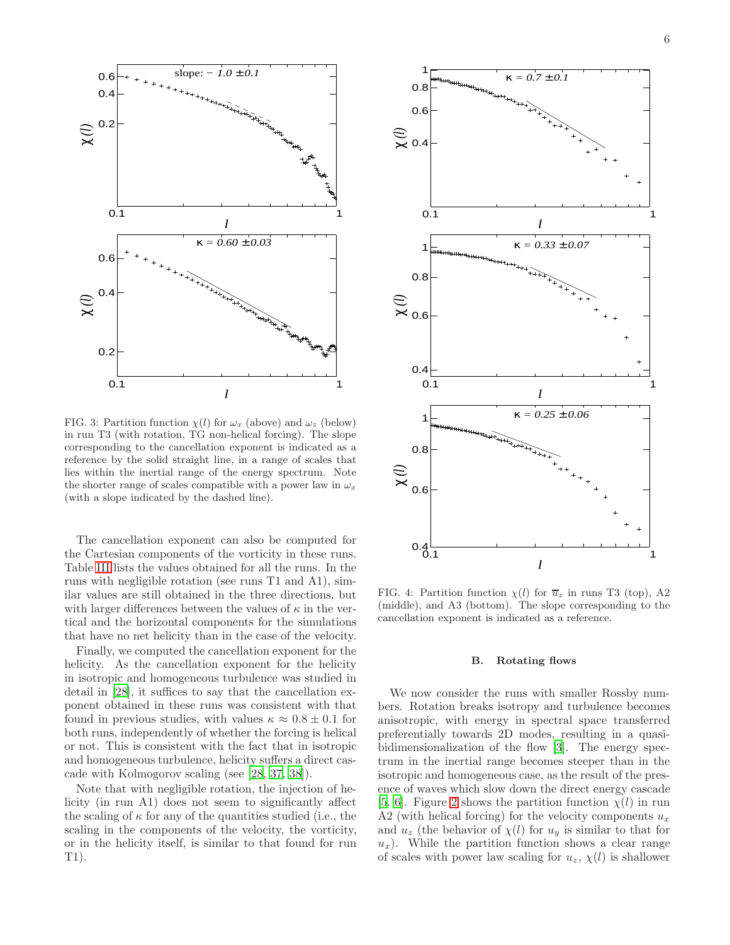

<span id="page-5-0"></span>FIG. 3: Partition function  $\chi(l)$  for  $\omega_x$  (above) and  $\omega_z$  (below) in run T3 (with rotation, TG non-helical forcing). The slope corresponding to the cancellation exponent is indicated as a reference by the solid straight line, in a range of scales that lies within the inertial range of the energy spectrum. Note the shorter range of scales compatible with a power law in  $\omega_x$ (with a slope indicated by the dashed line).

The cancellation exponent can also be computed for the Cartesian components of the vorticity in these runs. Table [III](#page-4-0) lists the values obtained for all the runs. In the runs with negligible rotation (see runs T1 and A1), similar values are still obtained in the three directions, but with larger differences between the values of  $\kappa$  in the vertical and the horizontal components for the simulations that have no net helicity than in the case of the velocity.

Finally, we computed the cancellation exponent for the helicity. As the cancellation exponent for the helicity in isotropic and homogeneous turbulence was studied in detail in [\[28\]](#page-8-25), it suffices to say that the cancellation exponent obtained in these runs was consistent with that found in previous studies, with values  $\kappa \approx 0.8 \pm 0.1$  for both runs, independently of whether the forcing is helical or not. This is consistent with the fact that in isotropic and homogeneous turbulence, helicity suffers a direct cascade with Kolmogorov scaling (see [\[28,](#page-8-25) [37,](#page-8-38) [38\]](#page-8-32)).

Note that with negligible rotation, the injection of helicity (in run A1) does not seem to significantly affect the scaling of  $\kappa$  for any of the quantities studied (i.e., the scaling in the components of the velocity, the vorticity, or in the helicity itself, is similar to that found for run T1).



<span id="page-5-1"></span>FIG. 4: Partition function  $\chi(l)$  for  $\overline{u}_z$  in runs T3 (top), A2 (middle), and A3 (bottom). The slope corresponding to the cancellation exponent is indicated as a reference.

#### B. Rotating flows

We now consider the runs with smaller Rossby numbers. Rotation breaks isotropy and turbulence becomes anisotropic, with energy in spectral space transferred preferentially towards 2D modes, resulting in a quasibidimensionalization of the flow [\[3\]](#page-8-2). The energy spectrum in the inertial range becomes steeper than in the isotropic and homogeneous case, as the result of the presence of waves which slow down the direct energy cascade [\[5,](#page-8-4) [6](#page-8-5)]. Figure [2](#page-4-1) shows the partition function  $\chi(l)$  in run A2 (with helical forcing) for the velocity components  $u_x$ and  $u_z$  (the behavior of  $\chi(l)$  for  $u_y$  is similar to that for  $u_x$ ). While the partition function shows a clear range of scales with power law scaling for  $u_z$ ,  $\chi(l)$  is shallower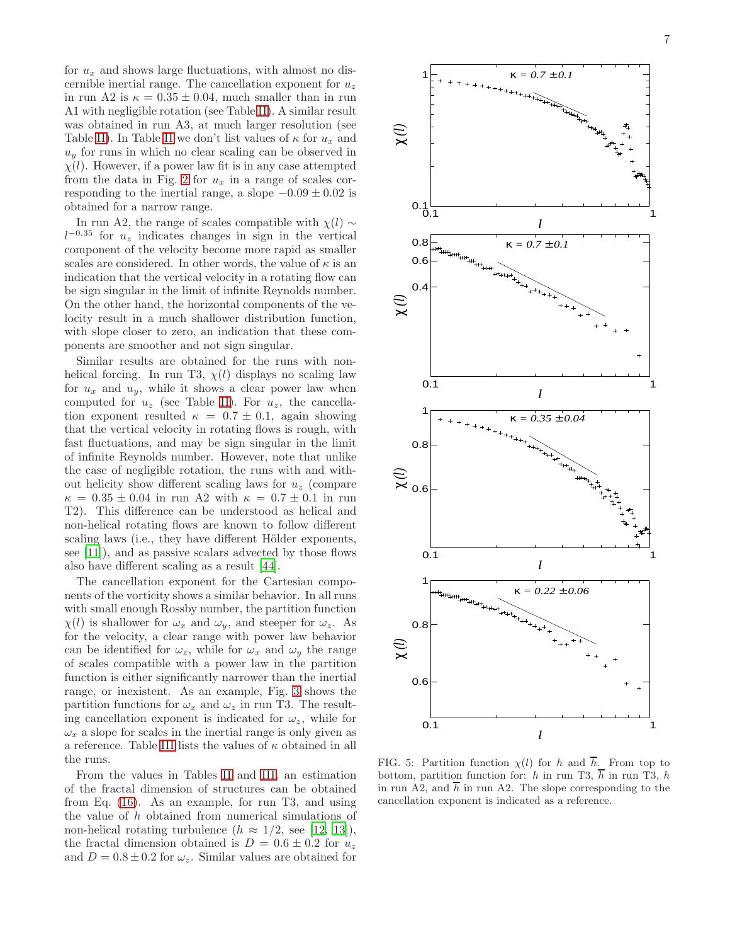for  $u_x$  and shows large fluctuations, with almost no discernible inertial range. The cancellation exponent for  $u<sub>z</sub>$ in run A2 is  $\kappa = 0.35 \pm 0.04$ , much smaller than in run A1 with negligible rotation (see Table [II\)](#page-3-4). A similar result was obtained in run A3, at much larger resolution (see Table [II\)](#page-3-4). In Table [II](#page-3-4) we don't list values of  $\kappa$  for  $u_x$  and  $u_y$  for runs in which no clear scaling can be observed in  $\chi(l)$ . However, if a power law fit is in any case attempted from the data in Fig. [2](#page-4-1) for  $u_x$  in a range of scales corresponding to the inertial range, a slope  $-0.09 \pm 0.02$  is obtained for a narrow range.

In run A2, the range of scales compatible with  $\chi$ (l) ∼  $l^{-0.35}$  for  $u_z$  indicates changes in sign in the vertical component of the velocity become more rapid as smaller scales are considered. In other words, the value of  $\kappa$  is an indication that the vertical velocity in a rotating flow can be sign singular in the limit of infinite Reynolds number. On the other hand, the horizontal components of the velocity result in a much shallower distribution function, with slope closer to zero, an indication that these components are smoother and not sign singular.

Similar results are obtained for the runs with nonhelical forcing. In run T3,  $\chi(l)$  displays no scaling law for  $u_x$  and  $u_y$ , while it shows a clear power law when computed for  $u_z$  (see Table [II\)](#page-3-4). For  $u_z$ , the cancellation exponent resulted  $\kappa = 0.7 \pm 0.1$ , again showing that the vertical velocity in rotating flows is rough, with fast fluctuations, and may be sign singular in the limit of infinite Reynolds number. However, note that unlike the case of negligible rotation, the runs with and without helicity show different scaling laws for  $u<sub>z</sub>$  (compare  $\kappa = 0.35 \pm 0.04$  in run A2 with  $\kappa = 0.7 \pm 0.1$  in run T2). This difference can be understood as helical and non-helical rotating flows are known to follow different scaling laws (i.e., they have different Hölder exponents, see [\[11](#page-8-10)]), and as passive scalars advected by those flows also have different scaling as a result [\[44](#page-8-39)].

The cancellation exponent for the Cartesian components of the vorticity shows a similar behavior. In all runs with small enough Rossby number, the partition function  $\chi(l)$  is shallower for  $\omega_x$  and  $\omega_y$ , and steeper for  $\omega_z$ . As for the velocity, a clear range with power law behavior can be identified for  $\omega_z$ , while for  $\omega_x$  and  $\omega_y$  the range of scales compatible with a power law in the partition function is either significantly narrower than the inertial range, or inexistent. As an example, Fig. [3](#page-5-0) shows the partition functions for  $\omega_x$  and  $\omega_z$  in run T3. The resulting cancellation exponent is indicated for  $\omega_z$ , while for  $\omega_x$  a slope for scales in the inertial range is only given as a reference. Table [III](#page-4-0) lists the values of  $\kappa$  obtained in all the runs.

From the values in Tables [II](#page-3-4) and [III,](#page-4-0) an estimation of the fractal dimension of structures can be obtained from Eq. [\(16\)](#page-3-3). As an example, for run T3, and using the value of h obtained from numerical simulations of non-helical rotating turbulence  $(h \approx 1/2, \text{ see } [12, 13]),$  $(h \approx 1/2, \text{ see } [12, 13]),$  $(h \approx 1/2, \text{ see } [12, 13]),$  $(h \approx 1/2, \text{ see } [12, 13]),$ the fractal dimension obtained is  $D = 0.6 \pm 0.2$  for  $u_z$ and  $D = 0.8 \pm 0.2$  for  $\omega_z$ . Similar values are obtained for



<span id="page-6-0"></span>FIG. 5: Partition function  $\chi(l)$  for h and  $\overline{h}$ . From top to bottom, partition function for: h in run T3,  $\overline{h}$  in run T3, h in run A2, and  $\overline{h}$  in run A2. The slope corresponding to the cancellation exponent is indicated as a reference.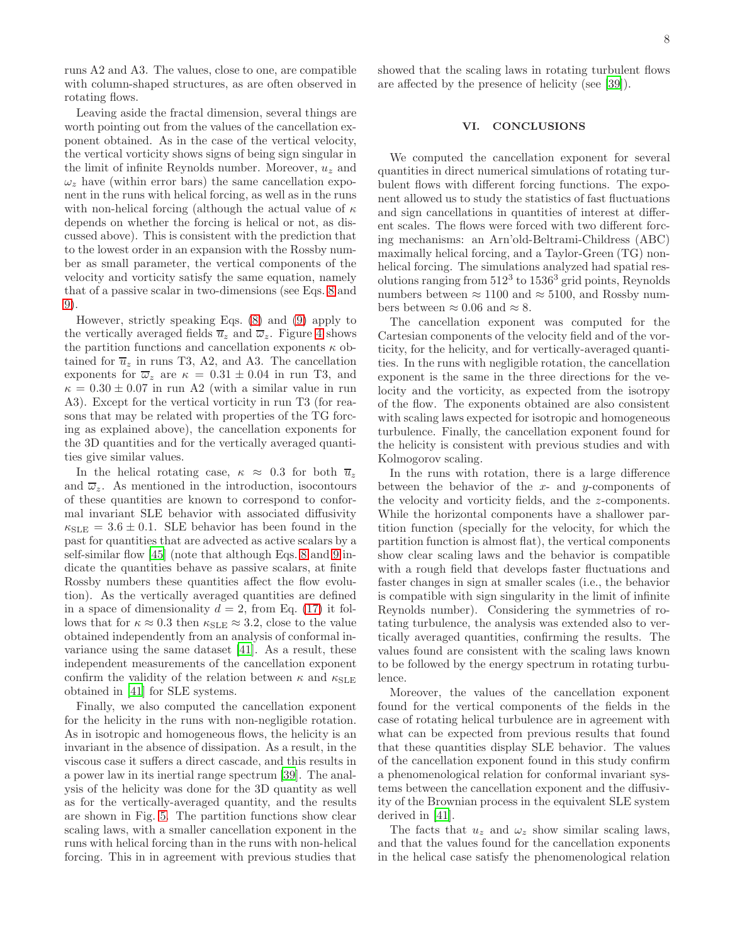runs A2 and A3. The values, close to one, are compatible with column-shaped structures, as are often observed in rotating flows.

Leaving aside the fractal dimension, several things are worth pointing out from the values of the cancellation exponent obtained. As in the case of the vertical velocity, the vertical vorticity shows signs of being sign singular in the limit of infinite Reynolds number. Moreover,  $u<sub>z</sub>$  and  $\omega_z$  have (within error bars) the same cancellation exponent in the runs with helical forcing, as well as in the runs with non-helical forcing (although the actual value of  $\kappa$ depends on whether the forcing is helical or not, as discussed above). This is consistent with the prediction that to the lowest order in an expansion with the Rossby number as small parameter, the vertical components of the velocity and vorticity satisfy the same equation, namely that of a passive scalar in two-dimensions (see Eqs. [8](#page-2-1) and [9\)](#page-2-2).

However, strictly speaking Eqs. [\(8\)](#page-2-1) and [\(9\)](#page-2-2) apply to the vertically averaged fields  $\overline{u}_z$  and  $\overline{\omega}_z$ . Figure [4](#page-5-1) shows the partition functions and cancellation exponents  $\kappa$  obtained for  $\overline{u}_z$  in runs T3, A2, and A3. The cancellation exponents for  $\overline{\omega}_z$  are  $\kappa = 0.31 \pm 0.04$  in run T3, and  $\kappa = 0.30 \pm 0.07$  in run A2 (with a similar value in run A3). Except for the vertical vorticity in run T3 (for reasons that may be related with properties of the TG forcing as explained above), the cancellation exponents for the 3D quantities and for the vertically averaged quantities give similar values.

In the helical rotating case,  $\kappa \approx 0.3$  for both  $\overline{u}_z$ and  $\overline{\omega}_z$ . As mentioned in the introduction, isocontours of these quantities are known to correspond to conformal invariant SLE behavior with associated diffusivity  $\kappa_{\text{SLE}} = 3.6 \pm 0.1$ . SLE behavior has been found in the past for quantities that are advected as active scalars by a self-similar flow [\[45](#page-8-40)] (note that although Eqs. [8](#page-2-1) and [9](#page-2-2) indicate the quantities behave as passive scalars, at finite Rossby numbers these quantities affect the flow evolution). As the vertically averaged quantities are defined in a space of dimensionality  $d = 2$ , from Eq. [\(17\)](#page-3-0) it follows that for  $\kappa \approx 0.3$  then  $\kappa_{\text{SLE}} \approx 3.2$ , close to the value obtained independently from an analysis of conformal invariance using the same dataset [\[41\]](#page-8-35). As a result, these independent measurements of the cancellation exponent confirm the validity of the relation between  $\kappa$  and  $\kappa_{\text{SLE}}$ obtained in [\[41](#page-8-35)] for SLE systems.

Finally, we also computed the cancellation exponent for the helicity in the runs with non-negligible rotation. As in isotropic and homogeneous flows, the helicity is an invariant in the absence of dissipation. As a result, in the viscous case it suffers a direct cascade, and this results in a power law in its inertial range spectrum [\[39\]](#page-8-33). The analysis of the helicity was done for the 3D quantity as well as for the vertically-averaged quantity, and the results are shown in Fig. [5.](#page-6-0) The partition functions show clear scaling laws, with a smaller cancellation exponent in the runs with helical forcing than in the runs with non-helical forcing. This in in agreement with previous studies that

showed that the scaling laws in rotating turbulent flows are affected by the presence of helicity (see [\[39](#page-8-33)]).

### VI. CONCLUSIONS

We computed the cancellation exponent for several quantities in direct numerical simulations of rotating turbulent flows with different forcing functions. The exponent allowed us to study the statistics of fast fluctuations and sign cancellations in quantities of interest at different scales. The flows were forced with two different forcing mechanisms: an Arn'old-Beltrami-Childress (ABC) maximally helical forcing, and a Taylor-Green (TG) nonhelical forcing. The simulations analyzed had spatial resolutions ranging from  $512^3$  to  $1536^3$  grid points, Reynolds numbers between  $\approx 1100$  and  $\approx 5100$ , and Rossby numbers between  $\approx 0.06$  and  $\approx 8$ .

The cancellation exponent was computed for the Cartesian components of the velocity field and of the vorticity, for the helicity, and for vertically-averaged quantities. In the runs with negligible rotation, the cancellation exponent is the same in the three directions for the velocity and the vorticity, as expected from the isotropy of the flow. The exponents obtained are also consistent with scaling laws expected for isotropic and homogeneous turbulence. Finally, the cancellation exponent found for the helicity is consistent with previous studies and with Kolmogorov scaling.

In the runs with rotation, there is a large difference between the behavior of the  $x$ - and  $y$ -components of the velocity and vorticity fields, and the z-components. While the horizontal components have a shallower partition function (specially for the velocity, for which the partition function is almost flat), the vertical components show clear scaling laws and the behavior is compatible with a rough field that develops faster fluctuations and faster changes in sign at smaller scales (i.e., the behavior is compatible with sign singularity in the limit of infinite Reynolds number). Considering the symmetries of rotating turbulence, the analysis was extended also to vertically averaged quantities, confirming the results. The values found are consistent with the scaling laws known to be followed by the energy spectrum in rotating turbulence.

Moreover, the values of the cancellation exponent found for the vertical components of the fields in the case of rotating helical turbulence are in agreement with what can be expected from previous results that found that these quantities display SLE behavior. The values of the cancellation exponent found in this study confirm a phenomenological relation for conformal invariant systems between the cancellation exponent and the diffusivity of the Brownian process in the equivalent SLE system derived in [\[41](#page-8-35)].

The facts that  $u_z$  and  $\omega_z$  show similar scaling laws, and that the values found for the cancellation exponents in the helical case satisfy the phenomenological relation